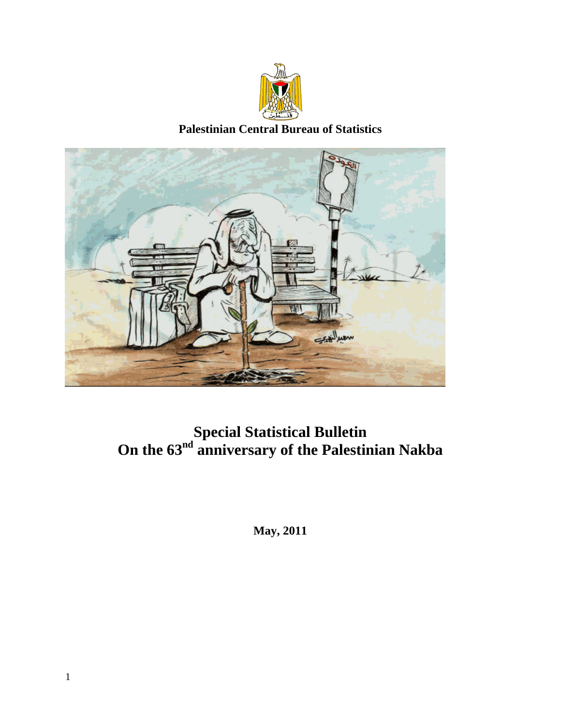

**Palestinian Central Bureau of Statistics** 



# **Special Statistical Bulletin**  On the 63<sup>nd</sup> anniversary of the Palestinian Nakba

**May, 2011**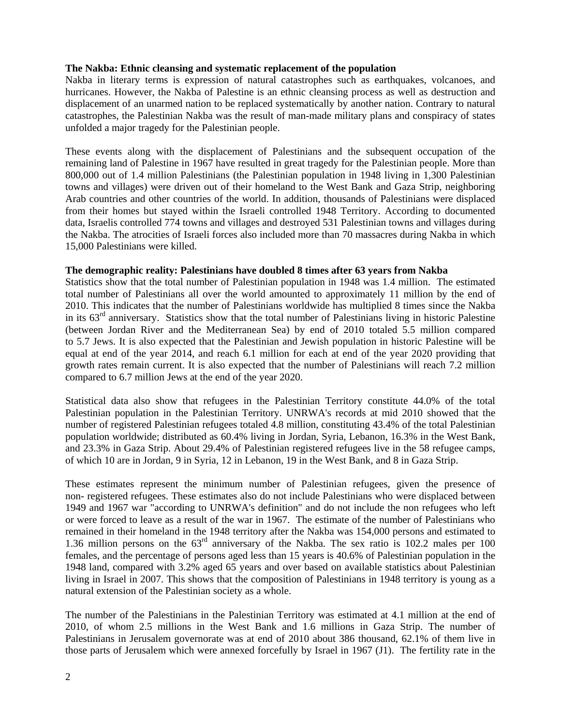# **The Nakba: Ethnic cleansing and systematic replacement of the population**

Nakba in literary terms is expression of natural catastrophes such as earthquakes, volcanoes, and hurricanes. However, the Nakba of Palestine is an ethnic cleansing process as well as destruction and displacement of an unarmed nation to be replaced systematically by another nation. Contrary to natural catastrophes, the Palestinian Nakba was the result of man-made military plans and conspiracy of states unfolded a major tragedy for the Palestinian people.

These events along with the displacement of Palestinians and the subsequent occupation of the remaining land of Palestine in 1967 have resulted in great tragedy for the Palestinian people. More than 800,000 out of 1.4 million Palestinians (the Palestinian population in 1948 living in 1,300 Palestinian towns and villages) were driven out of their homeland to the West Bank and Gaza Strip, neighboring Arab countries and other countries of the world. In addition, thousands of Palestinians were displaced from their homes but stayed within the Israeli controlled 1948 Territory. According to documented data, Israelis controlled 774 towns and villages and destroyed 531 Palestinian towns and villages during the Nakba. The atrocities of Israeli forces also included more than 70 massacres during Nakba in which 15,000 Palestinians were killed.

# **The demographic reality: Palestinians have doubled 8 times after 63 years from Nakba**

Statistics show that the total number of Palestinian population in 1948 was 1.4 million. The estimated total number of Palestinians all over the world amounted to approximately 11 million by the end of 2010. This indicates that the number of Palestinians worldwide has multiplied 8 times since the Nakba in its  $63<sup>rd</sup>$  anniversary. Statistics show that the total number of Palestinians living in historic Palestine (between Jordan River and the Mediterranean Sea) by end of 2010 totaled 5.5 million compared to 5.7 Jews. It is also expected that the Palestinian and Jewish population in historic Palestine will be equal at end of the year 2014, and reach 6.1 million for each at end of the year 2020 providing that growth rates remain current. It is also expected that the number of Palestinians will reach 7.2 million compared to 6.7 million Jews at the end of the year 2020.

Statistical data also show that refugees in the Palestinian Territory constitute 44.0% of the total Palestinian population in the Palestinian Territory. UNRWA's records at mid 2010 showed that the number of registered Palestinian refugees totaled 4.8 million, constituting 43.4% of the total Palestinian population worldwide; distributed as 60.4% living in Jordan, Syria, Lebanon, 16.3% in the West Bank, and 23.3% in Gaza Strip. About 29.4% of Palestinian registered refugees live in the 58 refugee camps, of which 10 are in Jordan, 9 in Syria, 12 in Lebanon, 19 in the West Bank, and 8 in Gaza Strip.

These estimates represent the minimum number of Palestinian refugees, given the presence of non- registered refugees. These estimates also do not include Palestinians who were displaced between 1949 and 1967 war "according to UNRWA's definition" and do not include the non refugees who left or were forced to leave as a result of the war in 1967. The estimate of the number of Palestinians who remained in their homeland in the 1948 territory after the Nakba was 154,000 persons and estimated to 1.36 million persons on the 63rd anniversary of the Nakba. The sex ratio is 102.2 males per 100 females, and the percentage of persons aged less than 15 years is 40.6% of Palestinian population in the 1948 land, compared with 3.2% aged 65 years and over based on available statistics about Palestinian living in Israel in 2007. This shows that the composition of Palestinians in 1948 territory is young as a natural extension of the Palestinian society as a whole.

The number of the Palestinians in the Palestinian Territory was estimated at 4.1 million at the end of 2010, of whom 2.5 millions in the West Bank and 1.6 millions in Gaza Strip. The number of Palestinians in Jerusalem governorate was at end of 2010 about 386 thousand, 62.1% of them live in those parts of Jerusalem which were annexed forcefully by Israel in 1967 (J1). The fertility rate in the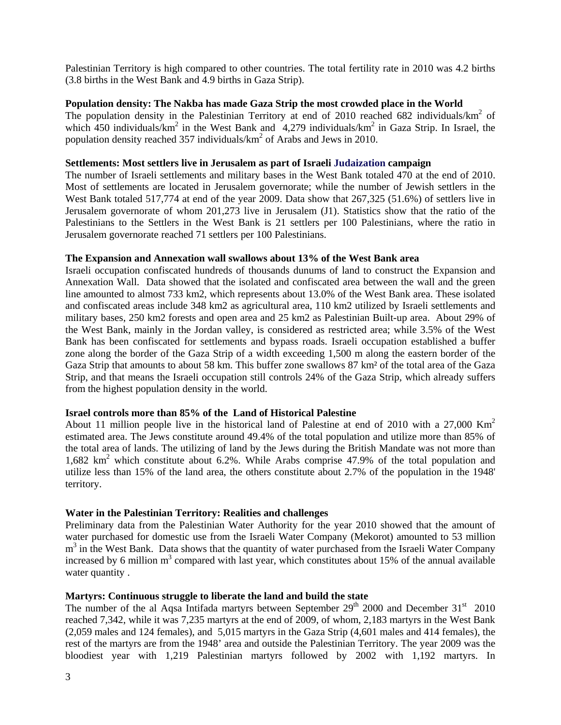Palestinian Territory is high compared to other countries. The total fertility rate in 2010 was 4.2 births (3.8 births in the West Bank and 4.9 births in Gaza Strip).

# **Population density: The Nakba has made Gaza Strip the most crowded place in the World**

The population density in the Palestinian Territory at end of 2010 reached 682 individuals/ $km^2$  of which  $\frac{450}{150}$  individuals/km<sup>2</sup> in the West Bank and  $\frac{4,279}{100}$  individuals/km<sup>2</sup> in Gaza Strip. In Israel, the population density reached 357 individuals/ $km^2$  of Arabs and Jews in 2010.

#### **Settlements: Most settlers live in Jerusalem as part of Israeli Judaization campaign**

The number of Israeli settlements and military bases in the West Bank totaled 470 at the end of 2010. Most of settlements are located in Jerusalem governorate; while the number of Jewish settlers in the West Bank totaled 517,774 at end of the year 2009. Data show that 267,325 (51.6%) of settlers live in Jerusalem governorate of whom 201,273 live in Jerusalem (J1). Statistics show that the ratio of the Palestinians to the Settlers in the West Bank is 21 settlers per 100 Palestinians, where the ratio in Jerusalem governorate reached 71 settlers per 100 Palestinians.

# **The Expansion and Annexation wall swallows about 13% of the West Bank area**

Israeli occupation confiscated hundreds of thousands dunums of land to construct the Expansion and Annexation Wall. Data showed that the isolated and confiscated area between the wall and the green line amounted to almost 733 km2, which represents about 13.0% of the West Bank area. These isolated and confiscated areas include 348 km2 as agricultural area, 110 km2 utilized by Israeli settlements and military bases, 250 km2 forests and open area and 25 km2 as Palestinian Built-up area. About 29% of the West Bank, mainly in the Jordan valley, is considered as restricted area; while 3.5% of the West Bank has been confiscated for settlements and bypass roads. Israeli occupation established a buffer zone along the border of the Gaza Strip of a width exceeding 1,500 m along the eastern border of the Gaza Strip that amounts to about 58 km. This buffer zone swallows 87 km² of the total area of the Gaza Strip, and that means the Israeli occupation still controls 24% of the Gaza Strip, which already suffers from the highest population density in the world.

# **Israel controls more than 85% of the Land of Historical Palestine**

About 11 million people live in the historical land of Palestine at end of 2010 with a 27,000 Km<sup>2</sup> estimated area. The Jews constitute around 49.4% of the total population and utilize more than 85% of the total area of lands. The utilizing of land by the Jews during the British Mandate was not more than 1,682 km<sup>2</sup> which constitute about 6.2%. While Arabs comprise 47.9% of the total population and utilize less than 15% of the land area, the others constitute about 2.7% of the population in the 1948' territory.

# **Water in the Palestinian Territory: Realities and challenges**

Preliminary data from the Palestinian Water Authority for the year 2010 showed that the amount of water purchased for domestic use from the Israeli Water Company (Mekorot) amounted to 53 million m<sup>3</sup> in the West Bank. Data shows that the quantity of water purchased from the Israeli Water Company increased by 6 million  $m<sup>3</sup>$  compared with last year, which constitutes about 15% of the annual available water quantity .

# **Martyrs: Continuous struggle to liberate the land and build the state**

The number of the al Aqsa Intifada martyrs between September 29<sup>th</sup> 2000 and December 31<sup>st</sup> 2010 reached 7,342, while it was 7,235 martyrs at the end of 2009, of whom, 2,183 martyrs in the West Bank (2,059 males and 124 females), and 5,015 martyrs in the Gaza Strip (4,601 males and 414 females), the rest of the martyrs are from the 1948' area and outside the Palestinian Territory. The year 2009 was the bloodiest year with 1,219 Palestinian martyrs followed by 2002 with 1,192 martyrs. In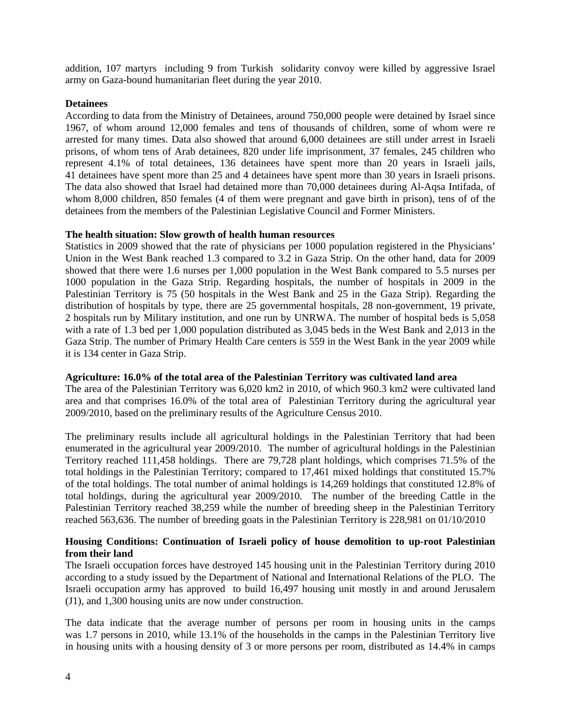addition, 107 martyrs including 9 from Turkish solidarity convoy were killed by aggressive Israel army on Gaza-bound humanitarian fleet during the year 2010.

# **Detainees**

According to data from the Ministry of Detainees, around 750,000 people were detained by Israel since 1967, of whom around 12,000 females and tens of thousands of children, some of whom were re arrested for many times. Data also showed that around 6,000 detainees are still under arrest in Israeli prisons, of whom tens of Arab detainees, 820 under life imprisonment, 37 females, 245 children who represent 4.1% of total detainees, 136 detainees have spent more than 20 years in Israeli jails, 41 detainees have spent more than 25 and 4 detainees have spent more than 30 years in Israeli prisons. The data also showed that Israel had detained more than 70,000 detainees during Al-Aqsa Intifada, of whom 8,000 children, 850 females (4 of them were pregnant and gave birth in prison), tens of of the detainees from the members of the Palestinian Legislative Council and Former Ministers.

#### **The health situation: Slow growth of health human resources**

Statistics in 2009 showed that the rate of physicians per 1000 population registered in the Physicians' Union in the West Bank reached 1.3 compared to 3.2 in Gaza Strip. On the other hand, data for 2009 showed that there were 1.6 nurses per 1,000 population in the West Bank compared to 5.5 nurses per 1000 population in the Gaza Strip. Regarding hospitals, the number of hospitals in 2009 in the Palestinian Territory is 75 (50 hospitals in the West Bank and 25 in the Gaza Strip). Regarding the distribution of hospitals by type, there are 25 governmental hospitals, 28 non-government, 19 private, 2 hospitals run by Military institution, and one run by UNRWA. The number of hospital beds is 5,058 with a rate of 1.3 bed per 1,000 population distributed as 3,045 beds in the West Bank and 2,013 in the Gaza Strip. The number of Primary Health Care centers is 559 in the West Bank in the year 2009 while it is 134 center in Gaza Strip.

#### **Agriculture: 16.0% of the total area of the Palestinian Territory was cultivated land area**

The area of the Palestinian Territory was 6,020 km2 in 2010, of which 960.3 km2 were cultivated land area and that comprises 16.0% of the total area of Palestinian Territory during the agricultural year 2009/2010, based on the preliminary results of the Agriculture Census 2010.

The preliminary results include all agricultural holdings in the Palestinian Territory that had been enumerated in the agricultural year 2009/2010. The number of agricultural holdings in the Palestinian Territory reached 111,458 holdings. There are 79,728 plant holdings, which comprises 71.5% of the total holdings in the Palestinian Territory; compared to 17,461 mixed holdings that constituted 15.7% of the total holdings. The total number of animal holdings is 14,269 holdings that constituted 12.8% of total holdings, during the agricultural year 2009/2010. The number of the breeding Cattle in the Palestinian Territory reached 38,259 while the number of breeding sheep in the Palestinian Territory reached 563,636. The number of breeding goats in the Palestinian Territory is 228,981 on 01/10/2010

# **Housing Conditions: Continuation of Israeli policy of house demolition to up-root Palestinian from their land**

The Israeli occupation forces have destroyed 145 housing unit in the Palestinian Territory during 2010 according to a study issued by the Department of National and International Relations of the PLO. The Israeli occupation army has approved to build 16,497 housing unit mostly in and around Jerusalem (J1), and 1,300 housing units are now under construction.

The data indicate that the average number of persons per room in housing units in the camps was 1.7 persons in 2010, while 13.1% of the households in the camps in the Palestinian Territory live in housing units with a housing density of 3 or more persons per room, distributed as 14.4% in camps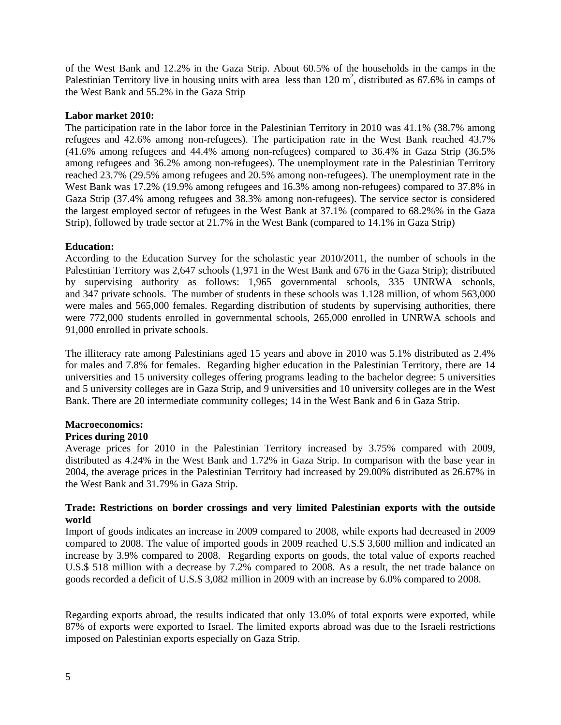of the West Bank and 12.2% in the Gaza Strip. About 60.5% of the households in the camps in the Palestinian Territory live in housing units with area less than  $120 \text{ m}^2$ , distributed as 67.6% in camps of the West Bank and 55.2% in the Gaza Strip

#### **Labor market 2010:**

The participation rate in the labor force in the Palestinian Territory in 2010 was 41.1% (38.7% among refugees and 42.6% among non-refugees). The participation rate in the West Bank reached 43.7% (41.6% among refugees and 44.4% among non-refugees) compared to 36.4% in Gaza Strip (36.5% among refugees and 36.2% among non-refugees). The unemployment rate in the Palestinian Territory reached 23.7% (29.5% among refugees and 20.5% among non-refugees). The unemployment rate in the West Bank was 17.2% (19.9% among refugees and 16.3% among non-refugees) compared to 37.8% in Gaza Strip (37.4% among refugees and 38.3% among non-refugees). The service sector is considered the largest employed sector of refugees in the West Bank at 37.1% (compared to 68.2%% in the Gaza Strip), followed by trade sector at 21.7% in the West Bank (compared to 14.1% in Gaza Strip)

# **Education:**

According to the Education Survey for the scholastic year 2010/2011, the number of schools in the Palestinian Territory was 2,647 schools (1,971 in the West Bank and 676 in the Gaza Strip); distributed by supervising authority as follows: 1,965 governmental schools, 335 UNRWA schools, and 347 private schools. The number of students in these schools was 1.128 million, of whom 563,000 were males and 565,000 females. Regarding distribution of students by supervising authorities, there were 772,000 students enrolled in governmental schools, 265,000 enrolled in UNRWA schools and 91,000 enrolled in private schools.

The illiteracy rate among Palestinians aged 15 years and above in 2010 was 5.1% distributed as 2.4% for males and 7.8% for females. Regarding higher education in the Palestinian Territory, there are 14 universities and 15 university colleges offering programs leading to the bachelor degree: 5 universities and 5 university colleges are in Gaza Strip, and 9 universities and 10 university colleges are in the West Bank. There are 20 intermediate community colleges; 14 in the West Bank and 6 in Gaza Strip.

# **Macroeconomics:**

# **Prices during 2010**

Average prices for 2010 in the Palestinian Territory increased by 3.75% compared with 2009, distributed as 4.24% in the West Bank and 1.72% in Gaza Strip. In comparison with the base year in 2004, the average prices in the Palestinian Territory had increased by 29.00% distributed as 26.67% in the West Bank and 31.79% in Gaza Strip.

# **Trade: Restrictions on border crossings and very limited Palestinian exports with the outside world**

Import of goods indicates an increase in 2009 compared to 2008, while exports had decreased in 2009 compared to 2008. The value of imported goods in 2009 reached U.S.\$ 3,600 million and indicated an increase by 3.9% compared to 2008. Regarding exports on goods, the total value of exports reached U.S.\$ 518 million with a decrease by 7.2% compared to 2008. As a result, the net trade balance on goods recorded a deficit of U.S.\$ 3,082 million in 2009 with an increase by 6.0% compared to 2008.

Regarding exports abroad, the results indicated that only 13.0% of total exports were exported, while 87% of exports were exported to Israel. The limited exports abroad was due to the Israeli restrictions imposed on Palestinian exports especially on Gaza Strip.